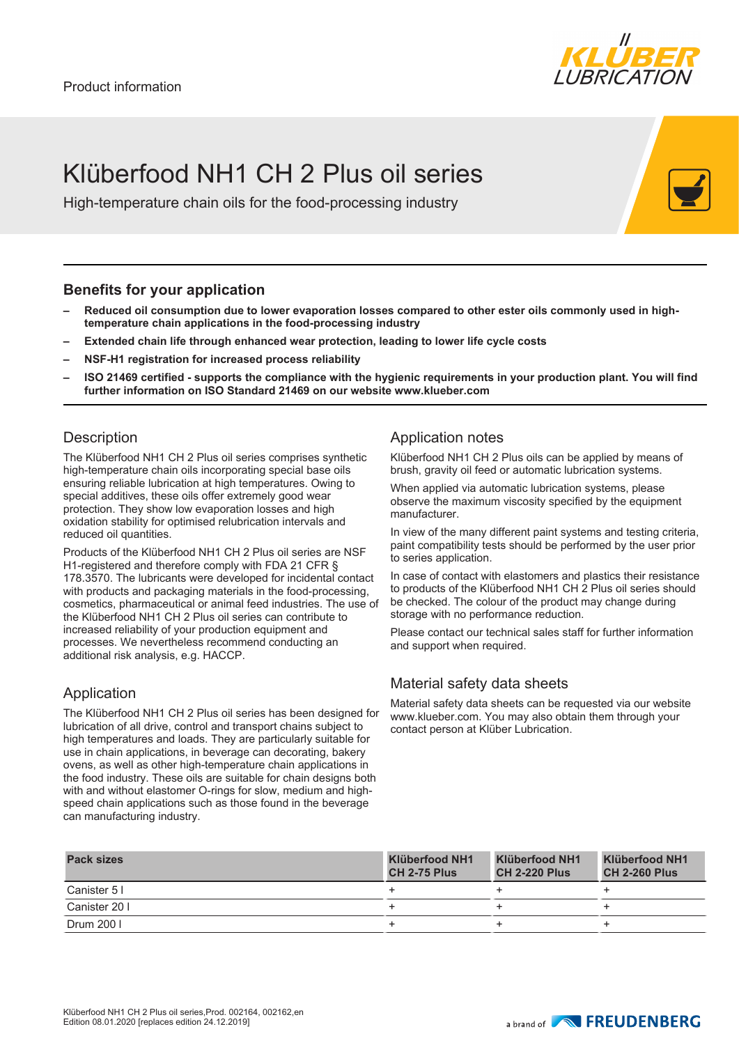

# Klüberfood NH1 CH 2 Plus oil series

High-temperature chain oils for the food-processing industry

### **Benefits for your application**

- **– Reduced oil consumption due to lower evaporation losses compared to other ester oils commonly used in hightemperature chain applications in the food-processing industry**
- **– Extended chain life through enhanced wear protection, leading to lower life cycle costs**
- **– NSF-H1 registration for increased process reliability**
- **– ISO 21469 certified supports the compliance with the hygienic requirements in your production plant. You will find further information on ISO Standard 21469 on our website www.klueber.com**

#### **Description**

The Klüberfood NH1 CH 2 Plus oil series comprises synthetic high-temperature chain oils incorporating special base oils ensuring reliable lubrication at high temperatures. Owing to special additives, these oils offer extremely good wear protection. They show low evaporation losses and high oxidation stability for optimised relubrication intervals and reduced oil quantities.

Products of the Klüberfood NH1 CH 2 Plus oil series are NSF H1-registered and therefore comply with FDA 21 CFR § 178.3570. The lubricants were developed for incidental contact with products and packaging materials in the food-processing, cosmetics, pharmaceutical or animal feed industries. The use of the Klüberfood NH1 CH 2 Plus oil series can contribute to increased reliability of your production equipment and processes. We nevertheless recommend conducting an additional risk analysis, e.g. HACCP.

## Application

The Klüberfood NH1 CH 2 Plus oil series has been designed for lubrication of all drive, control and transport chains subject to high temperatures and loads. They are particularly suitable for use in chain applications, in beverage can decorating, bakery ovens, as well as other high-temperature chain applications in the food industry. These oils are suitable for chain designs both with and without elastomer O-rings for slow, medium and highspeed chain applications such as those found in the beverage can manufacturing industry.

#### Application notes

Klüberfood NH1 CH 2 Plus oils can be applied by means of brush, gravity oil feed or automatic lubrication systems.

When applied via automatic lubrication systems, please observe the maximum viscosity specified by the equipment manufacturer.

In view of the many different paint systems and testing criteria, paint compatibility tests should be performed by the user prior to series application.

In case of contact with elastomers and plastics their resistance to products of the Klüberfood NH1 CH 2 Plus oil series should be checked. The colour of the product may change during storage with no performance reduction.

Please contact our technical sales staff for further information and support when required.

## Material safety data sheets

Material safety data sheets can be requested via our website www.klueber.com. You may also obtain them through your contact person at Klüber Lubrication.

| <b>Pack sizes</b> | <b>Klüberfood NH1</b><br><b>CH 2-75 Plus</b> | Klüberfood NH1<br><b>CH 2-220 Plus</b> | <b>Klüberfood NH1</b><br><b>CH 2-260 Plus</b> |
|-------------------|----------------------------------------------|----------------------------------------|-----------------------------------------------|
| Canister 5 I      |                                              |                                        |                                               |
| Canister 20 I     |                                              |                                        |                                               |
| Drum 200 I        |                                              |                                        |                                               |